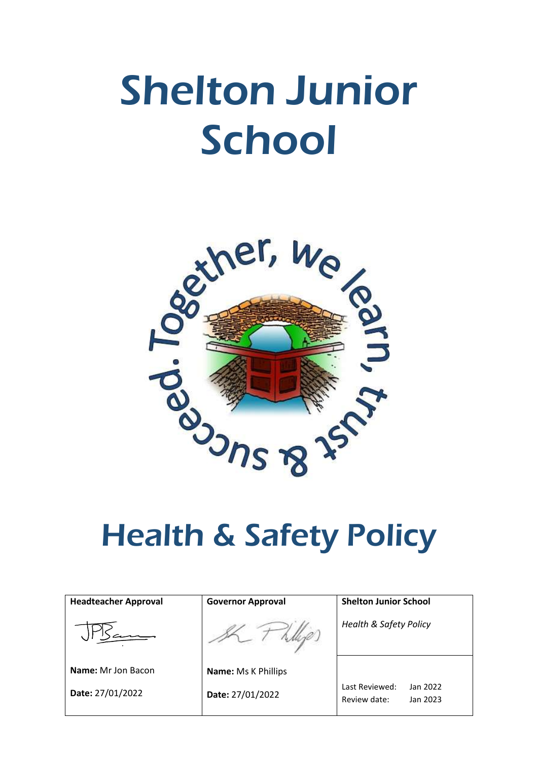# Shelton Junior School



| <b>Headteacher Approval</b> | <b>Governor Approval</b>   | <b>Shelton Junior School</b>                           |
|-----------------------------|----------------------------|--------------------------------------------------------|
|                             |                            | <b>Health &amp; Safety Policy</b>                      |
| <b>Name:</b> Mr Jon Bacon   | <b>Name: Ms K Phillips</b> |                                                        |
| Date: 27/01/2022            | Date: 27/01/2022           | Last Reviewed:<br>Jan 2022<br>Review date:<br>Jan 2023 |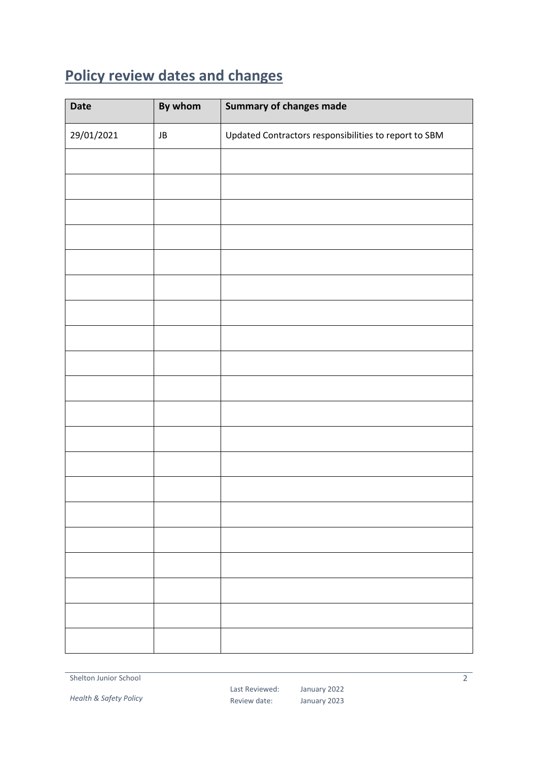# <span id="page-1-0"></span>**Policy review dates and changes**

| <b>Date</b> | By whom | <b>Summary of changes made</b>                        |
|-------------|---------|-------------------------------------------------------|
| 29/01/2021  | JB      | Updated Contractors responsibilities to report to SBM |
|             |         |                                                       |
|             |         |                                                       |
|             |         |                                                       |
|             |         |                                                       |
|             |         |                                                       |
|             |         |                                                       |
|             |         |                                                       |
|             |         |                                                       |
|             |         |                                                       |
|             |         |                                                       |
|             |         |                                                       |
|             |         |                                                       |
|             |         |                                                       |
|             |         |                                                       |
|             |         |                                                       |
|             |         |                                                       |
|             |         |                                                       |
|             |         |                                                       |
|             |         |                                                       |
|             |         |                                                       |

Shelton Junior School

*Health & Safety Policy*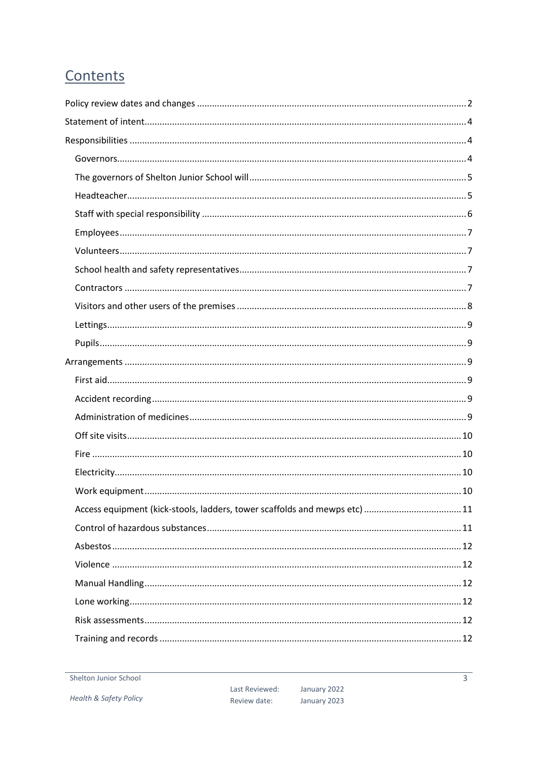# Contents

| Access equipment (kick-stools, ladders, tower scaffolds and mewps etc) 11 |  |
|---------------------------------------------------------------------------|--|
|                                                                           |  |
|                                                                           |  |
|                                                                           |  |
|                                                                           |  |
|                                                                           |  |
|                                                                           |  |
|                                                                           |  |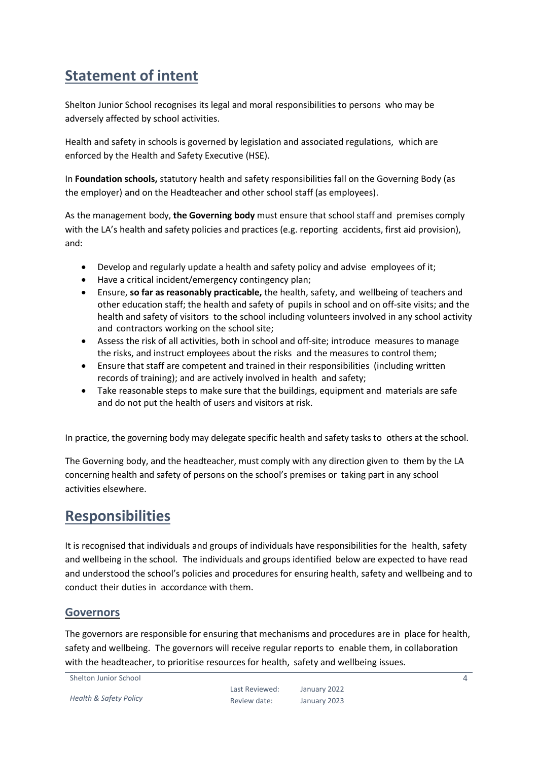# <span id="page-3-0"></span>**Statement of intent**

Shelton Junior School recognises its legal and moral responsibilities to persons who may be adversely affected by school activities.

Health and safety in schools is governed by legislation and associated regulations, which are enforced by the Health and Safety Executive (HSE).

In **Foundation schools,** statutory health and safety responsibilities fall on the Governing Body (as the employer) and on the Headteacher and other school staff (as employees).

As the management body, **the Governing body** must ensure that school staff and premises comply with the LA's health and safety policies and practices (e.g. reporting accidents, first aid provision), and:

- Develop and regularly update a health and safety policy and advise employees of it;
- Have a critical incident/emergency contingency plan;
- Ensure, **so far as reasonably practicable,** the health, safety, and wellbeing of teachers and other education staff; the health and safety of pupils in school and on off-site visits; and the health and safety of visitors to the school including volunteers involved in any school activity and contractors working on the school site;
- Assess the risk of all activities, both in school and off-site; introduce measures to manage the risks, and instruct employees about the risks and the measures to control them;
- Ensure that staff are competent and trained in their responsibilities (including written records of training); and are actively involved in health and safety;
- Take reasonable steps to make sure that the buildings, equipment and materials are safe and do not put the health of users and visitors at risk.

In practice, the governing body may delegate specific health and safety tasks to others at the school.

The Governing body, and the headteacher, must comply with any direction given to them by the LA concerning health and safety of persons on the school's premises or taking part in any school activities elsewhere.

# <span id="page-3-1"></span>**Responsibilities**

It is recognised that individuals and groups of individuals have responsibilities for the health, safety and wellbeing in the school. The individuals and groups identified below are expected to have read and understood the school's policies and procedures for ensuring health, safety and wellbeing and to conduct their duties in accordance with them.

#### <span id="page-3-2"></span>**Governors**

The governors are responsible for ensuring that mechanisms and procedures are in place for health, safety and wellbeing. The governors will receive regular reports to enable them, in collaboration with the headteacher, to prioritise resources for health, safety and wellbeing issues.

Shelton Junior School

*Health & Safety Policy*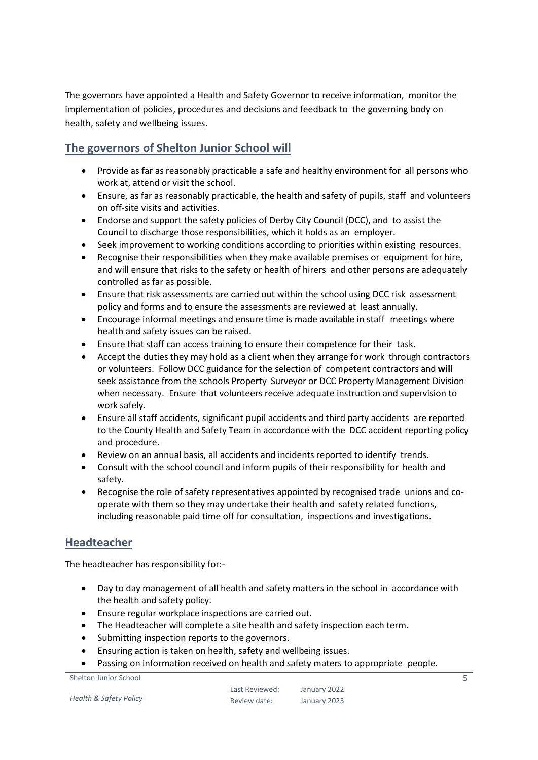The governors have appointed a Health and Safety Governor to receive information, monitor the implementation of policies, procedures and decisions and feedback to the governing body on health, safety and wellbeing issues.

### <span id="page-4-0"></span>**The governors of Shelton Junior School will**

- Provide as far as reasonably practicable a safe and healthy environment for all persons who work at, attend or visit the school.
- Ensure, as far as reasonably practicable, the health and safety of pupils, staff and volunteers on off-site visits and activities.
- Endorse and support the safety policies of Derby City Council (DCC), and to assist the Council to discharge those responsibilities, which it holds as an employer.
- Seek improvement to working conditions according to priorities within existing resources.
- Recognise their responsibilities when they make available premises or equipment for hire, and will ensure that risks to the safety or health of hirers and other persons are adequately controlled as far as possible.
- Ensure that risk assessments are carried out within the school using DCC risk assessment policy and forms and to ensure the assessments are reviewed at least annually.
- Encourage informal meetings and ensure time is made available in staff meetings where health and safety issues can be raised.
- Ensure that staff can access training to ensure their competence for their task.
- Accept the duties they may hold as a client when they arrange for work through contractors or volunteers. Follow DCC guidance for the selection of competent contractors and **will**  seek assistance from the schools Property Surveyor or DCC Property Management Division when necessary. Ensure that volunteers receive adequate instruction and supervision to work safely.
- Ensure all staff accidents, significant pupil accidents and third party accidents are reported to the County Health and Safety Team in accordance with the DCC accident reporting policy and procedure.
- Review on an annual basis, all accidents and incidents reported to identify trends.
- Consult with the school council and inform pupils of their responsibility for health and safety.
- Recognise the role of safety representatives appointed by recognised trade unions and cooperate with them so they may undertake their health and safety related functions, including reasonable paid time off for consultation, inspections and investigations.

#### <span id="page-4-1"></span>**Headteacher**

The headteacher has responsibility for:-

- Day to day management of all health and safety matters in the school in accordance with the health and safety policy.
- Ensure regular workplace inspections are carried out.
- The Headteacher will complete a site health and safety inspection each term.
- Submitting inspection reports to the governors.
- Ensuring action is taken on health, safety and wellbeing issues.
- Passing on information received on health and safety maters to appropriate people.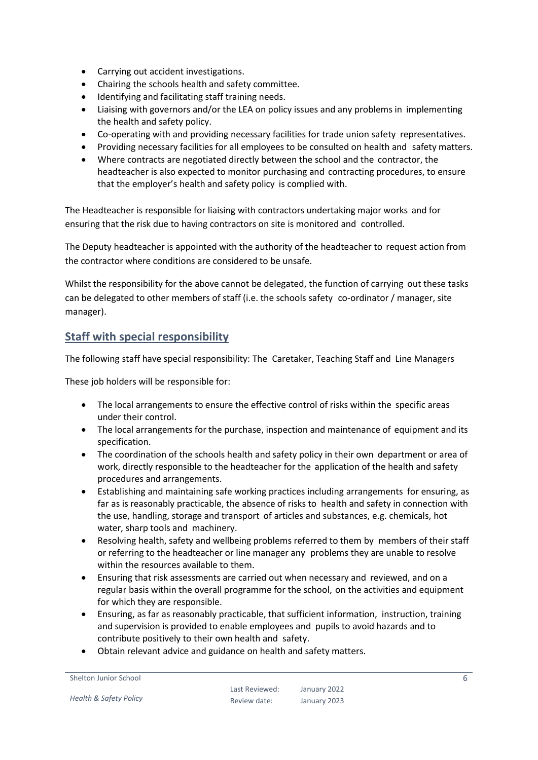- Carrying out accident investigations.
- Chairing the schools health and safety committee.
- $\bullet$  Identifying and facilitating staff training needs.
- Liaising with governors and/or the LEA on policy issues and any problems in implementing the health and safety policy.
- Co-operating with and providing necessary facilities for trade union safety representatives.
- Providing necessary facilities for all employees to be consulted on health and safety matters.
- Where contracts are negotiated directly between the school and the contractor, the headteacher is also expected to monitor purchasing and contracting procedures, to ensure that the employer's health and safety policy is complied with.

The Headteacher is responsible for liaising with contractors undertaking major works and for ensuring that the risk due to having contractors on site is monitored and controlled.

The Deputy headteacher is appointed with the authority of the headteacher to request action from the contractor where conditions are considered to be unsafe.

Whilst the responsibility for the above cannot be delegated, the function of carrying out these tasks can be delegated to other members of staff (i.e. the schools safety co-ordinator / manager, site manager).

#### <span id="page-5-0"></span>**Staff with special responsibility**

The following staff have special responsibility: The Caretaker, Teaching Staff and Line Managers

These job holders will be responsible for:

- The local arrangements to ensure the effective control of risks within the specific areas under their control.
- The local arrangements for the purchase, inspection and maintenance of equipment and its specification.
- The coordination of the schools health and safety policy in their own department or area of work, directly responsible to the headteacher for the application of the health and safety procedures and arrangements.
- Establishing and maintaining safe working practices including arrangements for ensuring, as far as is reasonably practicable, the absence of risks to health and safety in connection with the use, handling, storage and transport of articles and substances, e.g. chemicals, hot water, sharp tools and machinery.
- Resolving health, safety and wellbeing problems referred to them by members of their staff or referring to the headteacher or line manager any problems they are unable to resolve within the resources available to them.
- Ensuring that risk assessments are carried out when necessary and reviewed, and on a regular basis within the overall programme for the school, on the activities and equipment for which they are responsible.
- Ensuring, as far as reasonably practicable, that sufficient information, instruction, training and supervision is provided to enable employees and pupils to avoid hazards and to contribute positively to their own health and safety.
- Obtain relevant advice and guidance on health and safety matters.

Shelton Junior School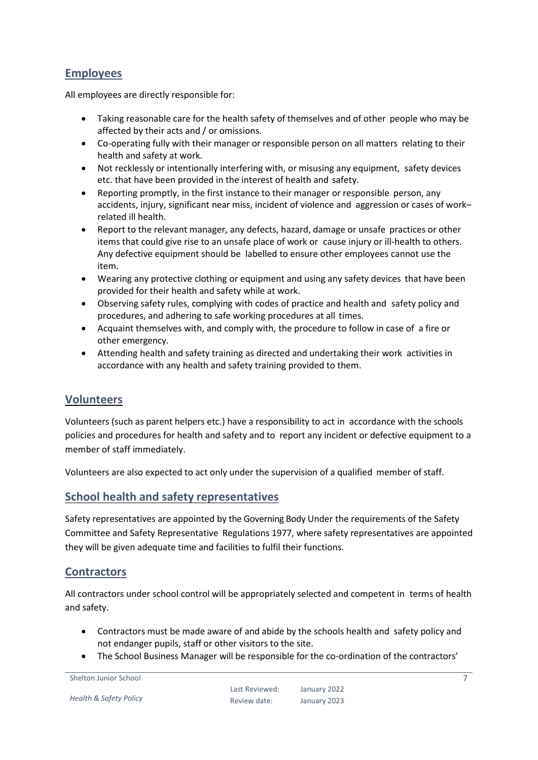#### <span id="page-6-0"></span>**Employees**

All employees are directly responsible for:

- Taking reasonable care for the health safety of themselves and of other people who may be affected by their acts and / or omissions.
- Co-operating fully with their manager or responsible person on all matters relating to their health and safety at work.
- Not recklessly or intentionally interfering with, or misusing any equipment, safety devices etc. that have been provided in the interest of health and safety.
- Reporting promptly, in the first instance to their manager or responsible person, any accidents, injury, significant near miss, incident of violence and aggression or cases of work– related ill health.
- Report to the relevant manager, any defects, hazard, damage or unsafe practices or other items that could give rise to an unsafe place of work or cause injury or ill-health to others. Any defective equipment should be labelled to ensure other employees cannot use the item.
- Wearing any protective clothing or equipment and using any safety devices that have been provided for their health and safety while at work.
- Observing safety rules, complying with codes of practice and health and safety policy and procedures, and adhering to safe working procedures at all times.
- Acquaint themselves with, and comply with, the procedure to follow in case of a fire or other emergency.
- Attending health and safety training as directed and undertaking their work activities in accordance with any health and safety training provided to them.

#### <span id="page-6-1"></span>**Volunteers**

Volunteers (such as parent helpers etc.) have a responsibility to act in accordance with the schools policies and procedures for health and safety and to report any incident or defective equipment to a member of staff immediately.

Volunteers are also expected to act only under the supervision of a qualified member of staff.

#### <span id="page-6-2"></span>**School health and safety representatives**

Safety representatives are appointed by the Governing Body Under the requirements of the Safety Committee and Safety Representative Regulations 1977, where safety representatives are appointed they will be given adequate time and facilities to fulfil their functions.

#### <span id="page-6-3"></span>**Contractors**

All contractors under school control will be appropriately selected and competent in terms of health and safety.

- Contractors must be made aware of and abide by the schools health and safety policy and not endanger pupils, staff or other visitors to the site.
- The School Business Manager will be responsible for the co-ordination of the contractors'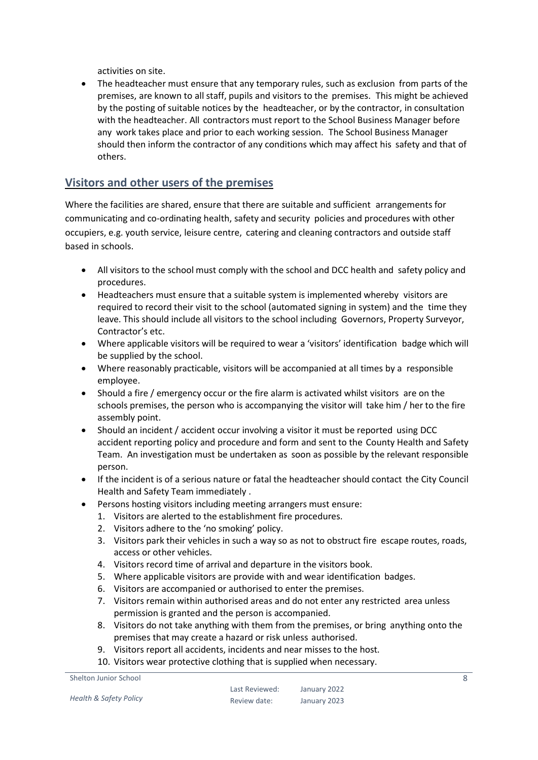activities on site.

 The headteacher must ensure that any temporary rules, such as exclusion from parts of the premises, are known to all staff, pupils and visitors to the premises. This might be achieved by the posting of suitable notices by the headteacher, or by the contractor, in consultation with the headteacher. All contractors must report to the School Business Manager before any work takes place and prior to each working session. The School Business Manager should then inform the contractor of any conditions which may affect his safety and that of others.

#### <span id="page-7-0"></span>**Visitors and other users of the premises**

Where the facilities are shared, ensure that there are suitable and sufficient arrangements for communicating and co-ordinating health, safety and security policies and procedures with other occupiers, e.g. youth service, leisure centre, catering and cleaning contractors and outside staff based in schools.

- All visitors to the school must comply with the school and DCC health and safety policy and procedures.
- Headteachers must ensure that a suitable system is implemented whereby visitors are required to record their visit to the school (automated signing in system) and the time they leave. This should include all visitors to the school including Governors, Property Surveyor, Contractor's etc.
- Where applicable visitors will be required to wear a 'visitors' identification badge which will be supplied by the school.
- Where reasonably practicable, visitors will be accompanied at all times by a responsible employee.
- Should a fire / emergency occur or the fire alarm is activated whilst visitors are on the schools premises, the person who is accompanying the visitor will take him / her to the fire assembly point.
- Should an incident / accident occur involving a visitor it must be reported using DCC accident reporting policy and procedure and form and sent to the County Health and Safety Team. An investigation must be undertaken as soon as possible by the relevant responsible person.
- If the incident is of a serious nature or fatal the headteacher should contact the City Council Health and Safety Team immediately .
	- Persons hosting visitors including meeting arrangers must ensure:
	- 1. Visitors are alerted to the establishment fire procedures.
	- 2. Visitors adhere to the 'no smoking' policy.
	- 3. Visitors park their vehicles in such a way so as not to obstruct fire escape routes, roads, access or other vehicles.
	- 4. Visitors record time of arrival and departure in the visitors book.
	- 5. Where applicable visitors are provide with and wear identification badges.
	- 6. Visitors are accompanied or authorised to enter the premises.
	- 7. Visitors remain within authorised areas and do not enter any restricted area unless permission is granted and the person is accompanied.
	- 8. Visitors do not take anything with them from the premises, or bring anything onto the premises that may create a hazard or risk unless authorised.
	- 9. Visitors report all accidents, incidents and near misses to the host.
	- 10. Visitors wear protective clothing that is supplied when necessary.

Shelton Junior School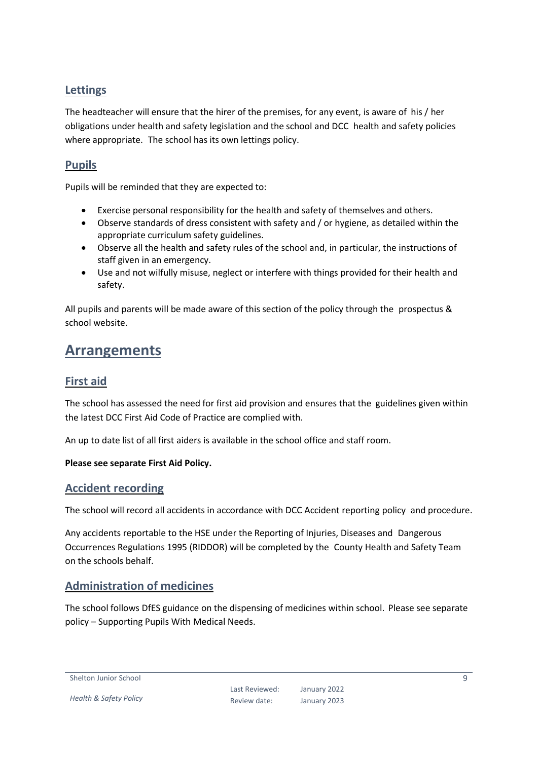#### <span id="page-8-0"></span>**Lettings**

The headteacher will ensure that the hirer of the premises, for any event, is aware of his / her obligations under health and safety legislation and the school and DCC health and safety policies where appropriate. The school has its own lettings policy.

#### <span id="page-8-1"></span>**Pupils**

Pupils will be reminded that they are expected to:

- Exercise personal responsibility for the health and safety of themselves and others.
- Observe standards of dress consistent with safety and / or hygiene, as detailed within the appropriate curriculum safety guidelines.
- Observe all the health and safety rules of the school and, in particular, the instructions of staff given in an emergency.
- Use and not wilfully misuse, neglect or interfere with things provided for their health and safety.

All pupils and parents will be made aware of this section of the policy through the prospectus & school website.

## <span id="page-8-2"></span>**Arrangements**

#### <span id="page-8-3"></span>**First aid**

The school has assessed the need for first aid provision and ensures that the guidelines given within the latest DCC First Aid Code of Practice are complied with.

An up to date list of all first aiders is available in the school office and staff room.

#### **Please see separate First Aid Policy.**

#### <span id="page-8-4"></span>**Accident recording**

The school will record all accidents in accordance with DCC Accident reporting policy and procedure.

Any accidents reportable to the HSE under the Reporting of Injuries, Diseases and Dangerous Occurrences Regulations 1995 (RIDDOR) will be completed by the County Health and Safety Team on the schools behalf.

#### <span id="page-8-5"></span>**Administration of medicines**

The school follows DfES guidance on the dispensing of medicines within school. Please see separate policy – Supporting Pupils With Medical Needs.

Shelton Junior School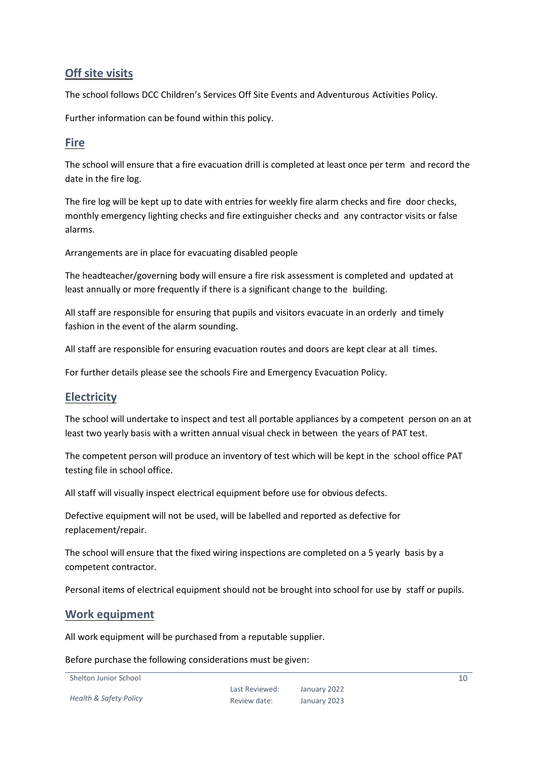#### <span id="page-9-0"></span>**Off site visits**

The school follows DCC Children's Services Off Site Events and Adventurous Activities Policy.

Further information can be found within this policy.

#### <span id="page-9-1"></span>**Fire**

The school will ensure that a fire evacuation drill is completed at least once per term and record the date in the fire log.

The fire log will be kept up to date with entries for weekly fire alarm checks and fire door checks, monthly emergency lighting checks and fire extinguisher checks and any contractor visits or false alarms.

Arrangements are in place for evacuating disabled people

The headteacher/governing body will ensure a fire risk assessment is completed and updated at least annually or more frequently if there is a significant change to the building.

All staff are responsible for ensuring that pupils and visitors evacuate in an orderly and timely fashion in the event of the alarm sounding.

All staff are responsible for ensuring evacuation routes and doors are kept clear at all times.

For further details please see the schools Fire and Emergency Evacuation Policy.

#### <span id="page-9-2"></span>**Electricity**

The school will undertake to inspect and test all portable appliances by a competent person on an at least two yearly basis with a written annual visual check in between the years of PAT test.

The competent person will produce an inventory of test which will be kept in the school office PAT testing file in school office.

All staff will visually inspect electrical equipment before use for obvious defects.

Defective equipment will not be used, will be labelled and reported as defective for replacement/repair.

The school will ensure that the fixed wiring inspections are completed on a 5 yearly basis by a competent contractor.

Personal items of electrical equipment should not be brought into school for use by staff or pupils.

#### <span id="page-9-3"></span>**Work equipment**

All work equipment will be purchased from a reputable supplier.

Before purchase the following considerations must be given:

Shelton Junior School

*Health & Safety Policy*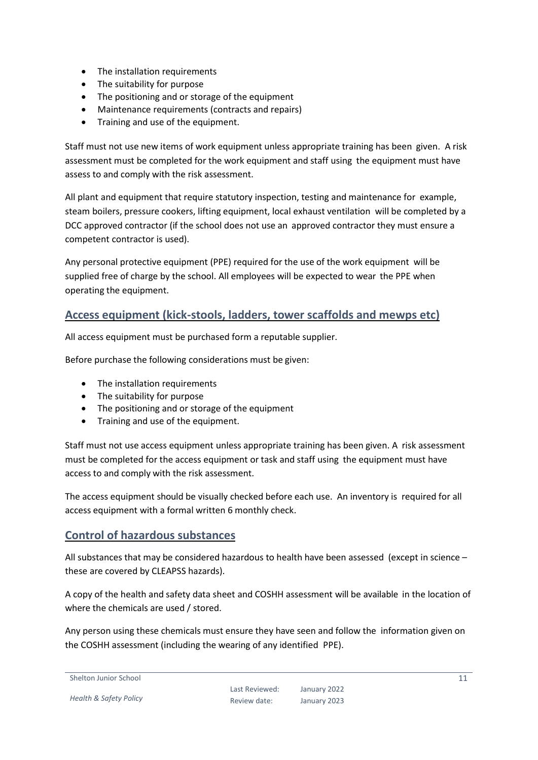- The installation requirements
- The suitability for purpose
- The positioning and or storage of the equipment
- Maintenance requirements (contracts and repairs)
- Training and use of the equipment.

Staff must not use new items of work equipment unless appropriate training has been given. A risk assessment must be completed for the work equipment and staff using the equipment must have assess to and comply with the risk assessment.

All plant and equipment that require statutory inspection, testing and maintenance for example, steam boilers, pressure cookers, lifting equipment, local exhaust ventilation will be completed by a DCC approved contractor (if the school does not use an approved contractor they must ensure a competent contractor is used).

Any personal protective equipment (PPE) required for the use of the work equipment will be supplied free of charge by the school. All employees will be expected to wear the PPE when operating the equipment.

#### <span id="page-10-0"></span>**Access equipment (kick-stools, ladders, tower scaffolds and mewps etc)**

All access equipment must be purchased form a reputable supplier.

Before purchase the following considerations must be given:

- The installation requirements
- The suitability for purpose
- The positioning and or storage of the equipment
- Training and use of the equipment.

Staff must not use access equipment unless appropriate training has been given. A risk assessment must be completed for the access equipment or task and staff using the equipment must have access to and comply with the risk assessment.

The access equipment should be visually checked before each use. An inventory is required for all access equipment with a formal written 6 monthly check.

#### <span id="page-10-1"></span>**Control of hazardous substances**

All substances that may be considered hazardous to health have been assessed (except in science – these are covered by CLEAPSS hazards).

A copy of the health and safety data sheet and COSHH assessment will be available in the location of where the chemicals are used / stored.

Any person using these chemicals must ensure they have seen and follow the information given on the COSHH assessment (including the wearing of any identified PPE).

```
Shelton Junior School
```